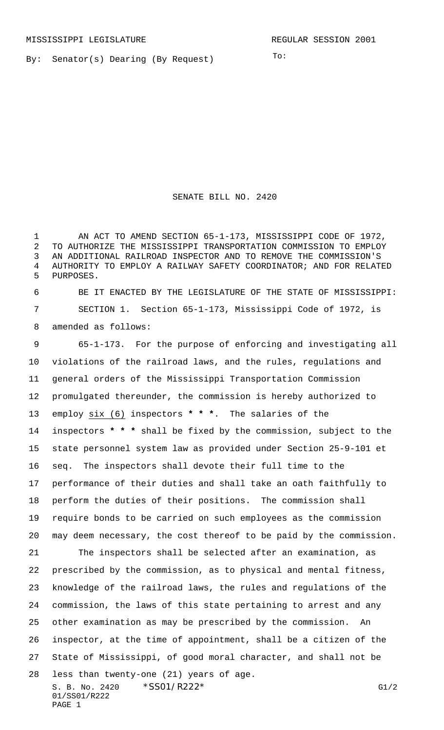By: Senator(s) Dearing (By Request)

To:

## SENATE BILL NO. 2420

 AN ACT TO AMEND SECTION 65-1-173, MISSISSIPPI CODE OF 1972, TO AUTHORIZE THE MISSISSIPPI TRANSPORTATION COMMISSION TO EMPLOY AN ADDITIONAL RAILROAD INSPECTOR AND TO REMOVE THE COMMISSION'S AUTHORITY TO EMPLOY A RAILWAY SAFETY COORDINATOR; AND FOR RELATED PURPOSES.

 BE IT ENACTED BY THE LEGISLATURE OF THE STATE OF MISSISSIPPI: SECTION 1. Section 65-1-173, Mississippi Code of 1972, is amended as follows:

 65-1-173. For the purpose of enforcing and investigating all violations of the railroad laws, and the rules, regulations and general orders of the Mississippi Transportation Commission promulgated thereunder, the commission is hereby authorized to employ six (6) inspectors **\* \* \***. The salaries of the inspectors **\* \* \*** shall be fixed by the commission, subject to the state personnel system law as provided under Section 25-9-101 et seq. The inspectors shall devote their full time to the performance of their duties and shall take an oath faithfully to perform the duties of their positions. The commission shall require bonds to be carried on such employees as the commission may deem necessary, the cost thereof to be paid by the commission. The inspectors shall be selected after an examination, as prescribed by the commission, as to physical and mental fitness, knowledge of the railroad laws, the rules and regulations of the commission, the laws of this state pertaining to arrest and any other examination as may be prescribed by the commission. An inspector, at the time of appointment, shall be a citizen of the State of Mississippi, of good moral character, and shall not be

S. B. No. 2420 \* SSO1/R222\* G1/2 01/SS01/R222 PAGE 1 less than twenty-one (21) years of age.